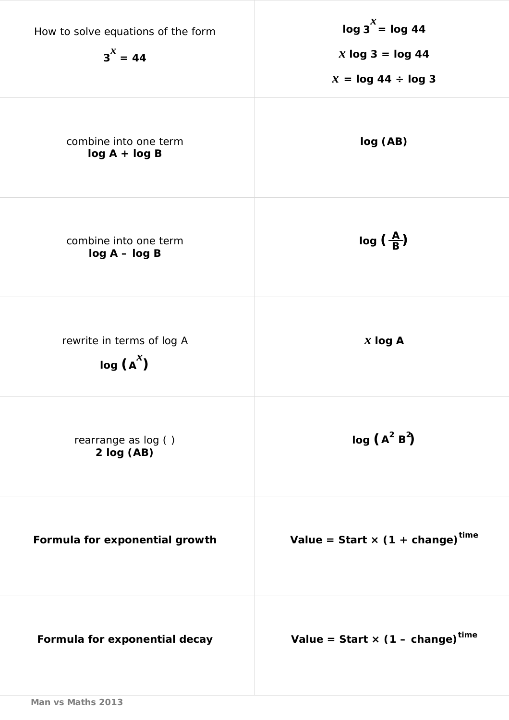| How to solve equations of the form<br>$3^x = 44$ | $\log 3^x = \log 44$<br>$x \log 3 = \log 44$<br>$x = \log 44 \div \log 3$ |
|--------------------------------------------------|---------------------------------------------------------------------------|
| combine into one term<br>$log A + log B$         | log (AB)                                                                  |
| combine into one term<br>$log A - log B$         | $log(\frac{A}{B})$                                                        |
| rewrite in terms of log A<br>$log(A^x)$          | $x \log A$                                                                |
| rearrange as log ()<br>2 log (AB)                | $log (A^2 B^2)$                                                           |
| Formula for exponential growth                   | Value = Start $\times$ (1 + change) <sup>time</sup>                       |
| Formula for exponential decay                    | Value = Start $\times$ (1 – change) <sup>time</sup>                       |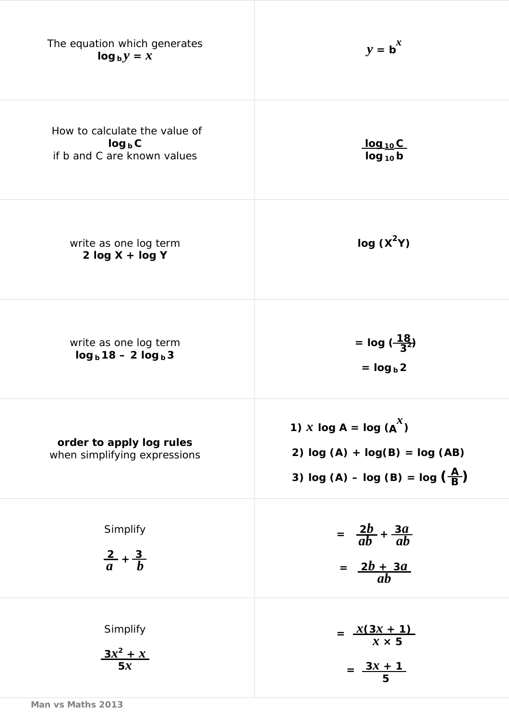| The equation which generates<br>$log_b y = x$                             | $y = b^x$                                                                                                         |
|---------------------------------------------------------------------------|-------------------------------------------------------------------------------------------------------------------|
| How to calculate the value of<br>$log_b C$<br>if b and C are known values | <u>log 10C</u><br>$log_{10}b$                                                                                     |
| write as one log term<br>$2 log X + log Y$                                | log(X <sup>2</sup> Y)                                                                                             |
| write as one log term<br>$log_b 18 - 2 log_b 3$                           | = $log(\frac{18}{3^2})$<br>$=$ $log_b 2$                                                                          |
| order to apply log rules<br>when simplifying expressions                  | 1) <i>x</i> log A = log $(A^x)$<br>2) $log (A) + log(B) = log (AB)$<br>3) $log (A) - log (B) = log (\frac{A}{B})$ |
| Simplify<br>$rac{2}{a} + \frac{3}{b}$                                     | $=\frac{2b}{ab}+\frac{3a}{ab}$<br>$=\frac{2b+3a}{ab}$                                                             |
| Simplify<br>$\frac{3x^2 + x}{5x}$                                         | $=\frac{x(3x+1)}{x\times 5}$<br>$=\frac{3x+1}{5}$                                                                 |